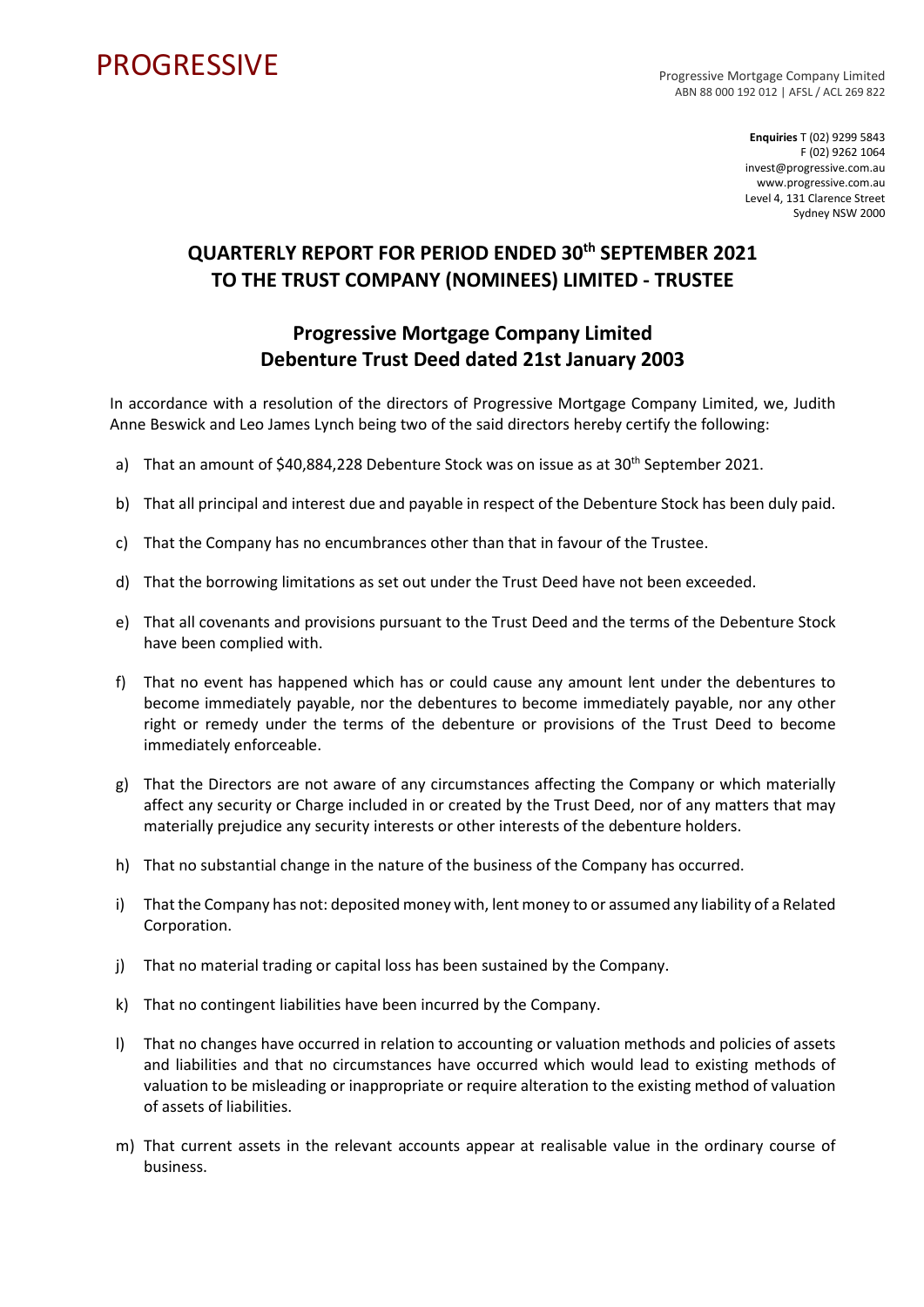## **PROGRESSIVE**

Progressive Mortgage Company Limited ABN 88 000 192 012 | AFSL / ACL 269 822

> **Enquiries** T (02) 9299 5843 F (02) 9262 1064 invest@progressive.com.au www.progressive.com.au Level 4, 131 Clarence Street Sydney NSW 2000

## **QUARTERLY REPORT FOR PERIOD ENDED 30th SEPTEMBER 2021 TO THE TRUST COMPANY (NOMINEES) LIMITED - TRUSTEE**

## **Progressive Mortgage Company Limited Debenture Trust Deed dated 21st January 2003**

In accordance with a resolution of the directors of Progressive Mortgage Company Limited, we, Judith Anne Beswick and Leo James Lynch being two of the said directors hereby certify the following:

- a) That an amount of \$40,884,228 Debenture Stock was on issue as at 30<sup>th</sup> September 2021.
- b) That all principal and interest due and payable in respect of the Debenture Stock has been duly paid.
- c) That the Company has no encumbrances other than that in favour of the Trustee.
- d) That the borrowing limitations as set out under the Trust Deed have not been exceeded.
- e) That all covenants and provisions pursuant to the Trust Deed and the terms of the Debenture Stock have been complied with.
- f) That no event has happened which has or could cause any amount lent under the debentures to become immediately payable, nor the debentures to become immediately payable, nor any other right or remedy under the terms of the debenture or provisions of the Trust Deed to become immediately enforceable.
- g) That the Directors are not aware of any circumstances affecting the Company or which materially affect any security or Charge included in or created by the Trust Deed, nor of any matters that may materially prejudice any security interests or other interests of the debenture holders.
- h) That no substantial change in the nature of the business of the Company has occurred.
- i) That the Company has not: deposited money with, lent money to or assumed any liability of a Related Corporation.
- j) That no material trading or capital loss has been sustained by the Company.
- k) That no contingent liabilities have been incurred by the Company.
- l) That no changes have occurred in relation to accounting or valuation methods and policies of assets and liabilities and that no circumstances have occurred which would lead to existing methods of valuation to be misleading or inappropriate or require alteration to the existing method of valuation of assets of liabilities.
- m) That current assets in the relevant accounts appear at realisable value in the ordinary course of business.